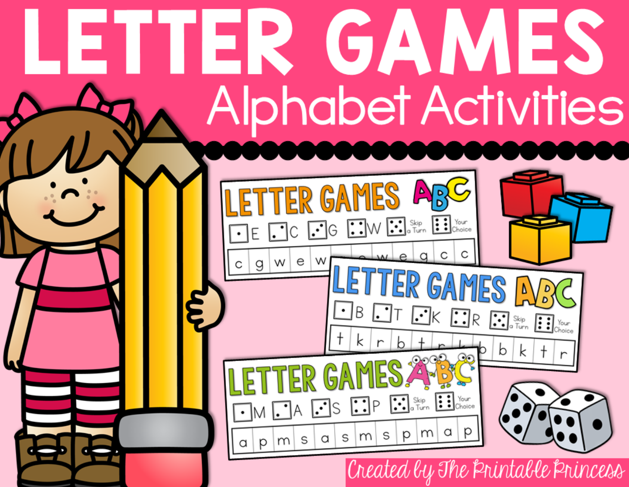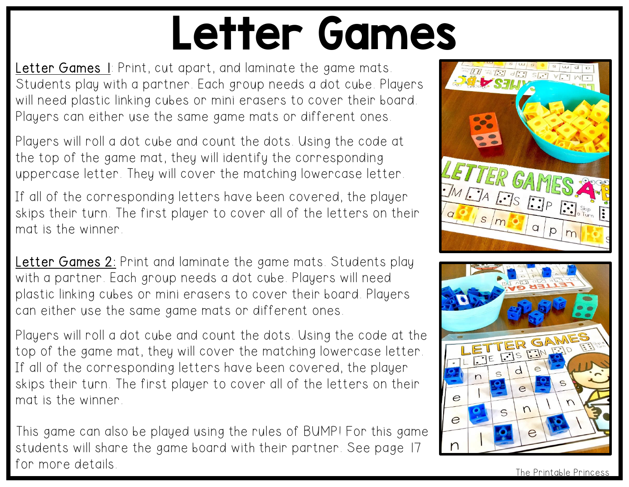## Letter Games

Letter Games 1: Print, cut apart, and laminate the game mats. Students play with a partner. Each group needs a dot cube. Players will need plastic linking cubes or mini erasers to cover their board. Players can either use the same game mats or different ones.

Players will roll a dot cube and count the dots. Using the code at the top of the game mat, they will identify the corresponding uppercase letter. They will cover the matching lowercase letter.

If all of the corresponding letters have been covered, the player skips their turn. The first player to cover all of the letters on their mat is the winner.

Letter Games 2: Print and laminate the game mats. Students play with a partner. Each group needs a dot cube. Players will need plastic linking cubes or mini erasers to cover their board. Players can either use the same game mats or different ones.

Players will roll a dot cube and count the dots. Using the code at the top of the game mat, they will cover the matching lowercase letter. If all of the corresponding letters have been covered, the player skips their turn. The first player to cover all of the letters on their mat is the winner.

This game can also be played using the rules of BUMP! For this game students will share the game board with their partner. See page 17 for more details.



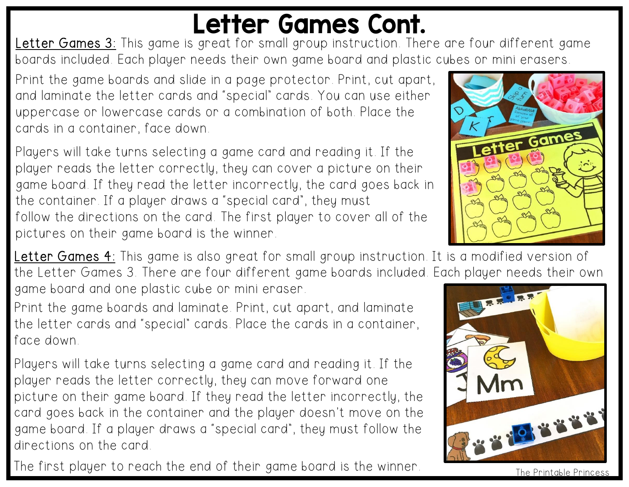## Letter Games Cont.

Letter Games 3: This game is great for small group instruction. There are four different game boards included. Each player needs their own game board and plastic cubes or mini erasers.

Print the game boards and slide in a page protector. Print, cut apart, and laminate the letter cards and "special" cards. You can use either uppercase or lowercase cards or a combination of both. Place the cards in a container, face down.

Players will take turns selecting a game card and reading it. If the player reads the letter correctly, they can cover a picture on their game board. If they read the letter incorrectly, the card goes back in the container. If a player draws a "special card", they must follow the directions on the card. The first player to cover all of the pictures on their game board is the winner.



Letter Games 4: This game is also great for small group instruction. It is a modified version of the Letter Games 3. There are four different game boards included. Each player needs their own game board and one plastic cube or mini eraser.

Print the game boards and laminate. Print, cut apart, and laminate the letter cards and "special" cards. Place the cards in a container, face down.

Players will take turns selecting a game card and reading it. If the player reads the letter correctly, they can move forward one picture on their game board. If they read the letter incorrectly, the card goes back in the container and the player doesn't move on the game board. If a player draws a "special card", they must follow the directions on the card.

The first player to reach the end of their game board is the winner. The Printable Princess